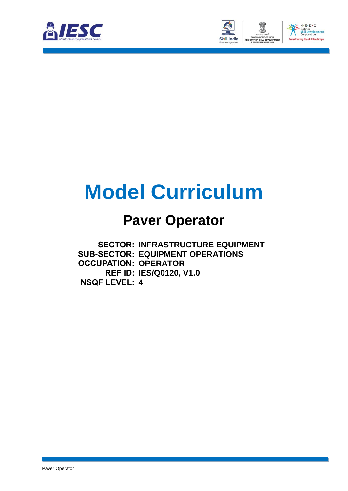



# **Model Curriculum**

### **Paver Operator**

**SECTOR: INFRASTRUCTURE EQUIPMENT SUB-SECTOR: EQUIPMENT OPERATIONS OCCUPATION: OPERATOR REF ID: IES/Q0120, V1.0 NSQF LEVEL: 4**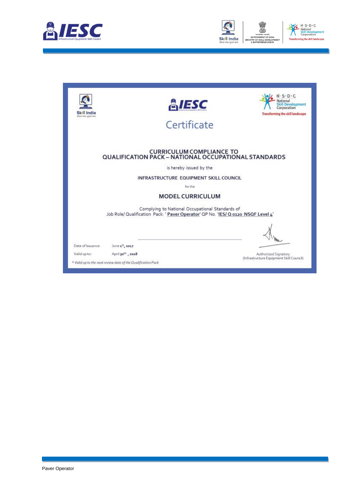



| Skill India<br>where your -systems and | <b>EIESC</b><br>Certificate                                                                                                         | $-S \cdot D \cdot C$<br>ational<br>Skill Development<br>Corporation<br>Transforming the skill landscape |  |
|----------------------------------------|-------------------------------------------------------------------------------------------------------------------------------------|---------------------------------------------------------------------------------------------------------|--|
|                                        | <b>CURRICULUM COMPLIANCE TO</b><br>QUALIFICATION PACK - NATIONAL OCCUPATIONAL STANDARDS                                             |                                                                                                         |  |
| is hereby issued by the                |                                                                                                                                     |                                                                                                         |  |
| INFRASTRUCTURE EQUIPMENT SKILL COUNCIL |                                                                                                                                     |                                                                                                         |  |
| for the                                |                                                                                                                                     |                                                                                                         |  |
|                                        | <b>MODEL CURRICULUM</b>                                                                                                             |                                                                                                         |  |
|                                        | Complying to National Occupational Standards of<br>Job Role/ Qualification Pack: 'Paver Operator' QP No. 'IES/ Q 0120 NSQF Level 4' |                                                                                                         |  |
| Date of Issuance:                      | June 1st, 2017                                                                                                                      |                                                                                                         |  |
| Valid up to:                           | April 30 <sup>th</sup> , 2018                                                                                                       | Authorized Signatory<br>(Infrastructure Equipment Skill Council)                                        |  |
|                                        | * Valid up to the next review date of the Qualification Pack                                                                        |                                                                                                         |  |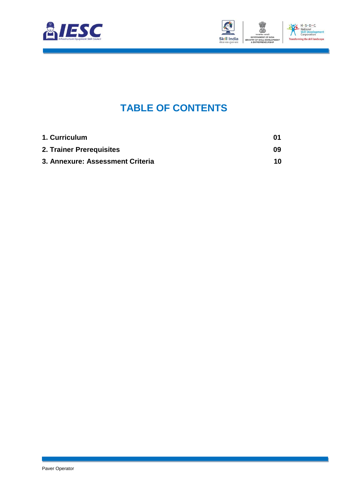



### **TABLE OF CONTENTS**

<span id="page-2-2"></span><span id="page-2-1"></span><span id="page-2-0"></span>

| 1. Curriculum                    | 01 |
|----------------------------------|----|
| 2. Trainer Prerequisites         | 09 |
| 3. Annexure: Assessment Criteria | 10 |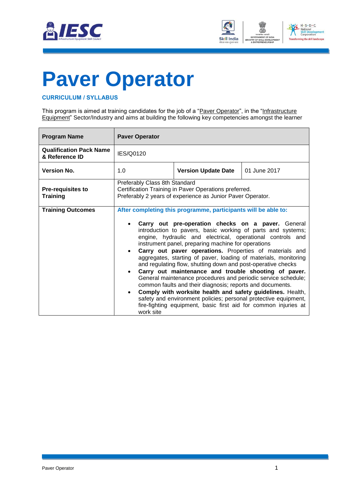



## <span id="page-3-0"></span>**[Paver Operator](#page-2-0)**

#### **CURRICULUM / SYLLABUS**

This program is aimed at training candidates for the job of a "Paver Operator", in the "Infrastructure Equipment" Sector/Industry and aims at building the following key competencies amongst the learner

| <b>Program Name</b>                              | <b>Paver Operator</b>         |                                                                                                                                                                                                                                                                                                                                                                                                                                                                                                                                                                                                                                                                                                                                                                                                                                                                                                 |              |
|--------------------------------------------------|-------------------------------|-------------------------------------------------------------------------------------------------------------------------------------------------------------------------------------------------------------------------------------------------------------------------------------------------------------------------------------------------------------------------------------------------------------------------------------------------------------------------------------------------------------------------------------------------------------------------------------------------------------------------------------------------------------------------------------------------------------------------------------------------------------------------------------------------------------------------------------------------------------------------------------------------|--------------|
| <b>Qualification Pack Name</b><br>& Reference ID | IES/Q0120                     |                                                                                                                                                                                                                                                                                                                                                                                                                                                                                                                                                                                                                                                                                                                                                                                                                                                                                                 |              |
| <b>Version No.</b>                               | 1.0                           | <b>Version Update Date</b>                                                                                                                                                                                                                                                                                                                                                                                                                                                                                                                                                                                                                                                                                                                                                                                                                                                                      | 01 June 2017 |
| <b>Pre-requisites to</b><br><b>Training</b>      | Preferably Class 8th Standard | Certification Training in Paver Operations preferred.<br>Preferably 2 years of experience as Junior Paver Operator.                                                                                                                                                                                                                                                                                                                                                                                                                                                                                                                                                                                                                                                                                                                                                                             |              |
| <b>Training Outcomes</b>                         | $\bullet$<br>work site        | After completing this programme, participants will be able to:<br>Carry out pre-operation checks on a paver. General<br>introduction to pavers, basic working of parts and systems;<br>engine, hydraulic and electrical, operational controls and<br>instrument panel, preparing machine for operations<br>Carry out paver operations. Properties of materials and<br>aggregates, starting of paver, loading of materials, monitoring<br>and regulating flow, shutting down and post-operative checks<br>Carry out maintenance and trouble shooting of paver.<br>General maintenance procedures and periodic service schedule;<br>common faults and their diagnosis; reports and documents.<br>Comply with worksite health and safety guidelines. Health,<br>safety and environment policies; personal protective equipment,<br>fire-fighting equipment, basic first aid for common injuries at |              |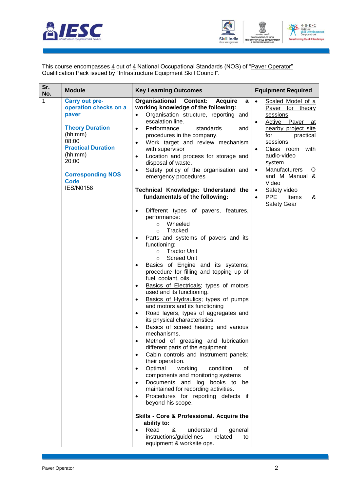



This course encompasses <u>4</u> out of <u>4</u> National Occupational Standards (NOS) of "<u>Paver Operator</u>" Qualification Pack issued by "Infrastructure Equipment Skill Council".

| Sr.<br>No. | <b>Module</b>                                                                                                                                                                                                         | <b>Key Learning Outcomes</b>                                                                                                                                                                                                                                                                                                                                                                                                                                                                                                                                                                                                                                                                                                                                                                                                                                                                                                                                                                                                                                                                                                                                                                                                                                                                                                                                                                                                                                                                                                                                                                                                                                                                                                                                                                                                                                                          | <b>Equipment Required</b>                                                                                                                                                                                                                                                                                                                                                      |
|------------|-----------------------------------------------------------------------------------------------------------------------------------------------------------------------------------------------------------------------|---------------------------------------------------------------------------------------------------------------------------------------------------------------------------------------------------------------------------------------------------------------------------------------------------------------------------------------------------------------------------------------------------------------------------------------------------------------------------------------------------------------------------------------------------------------------------------------------------------------------------------------------------------------------------------------------------------------------------------------------------------------------------------------------------------------------------------------------------------------------------------------------------------------------------------------------------------------------------------------------------------------------------------------------------------------------------------------------------------------------------------------------------------------------------------------------------------------------------------------------------------------------------------------------------------------------------------------------------------------------------------------------------------------------------------------------------------------------------------------------------------------------------------------------------------------------------------------------------------------------------------------------------------------------------------------------------------------------------------------------------------------------------------------------------------------------------------------------------------------------------------------|--------------------------------------------------------------------------------------------------------------------------------------------------------------------------------------------------------------------------------------------------------------------------------------------------------------------------------------------------------------------------------|
| 1          | <b>Carry out pre-</b><br>operation checks on a<br>paver<br><b>Theory Duration</b><br>(hh:mm)<br>08:00<br><b>Practical Duration</b><br>(hh:mm)<br>20:00<br><b>Corresponding NOS</b><br><b>Code</b><br><b>IES/N0158</b> | Organisational<br><b>Context:</b><br><b>Acquire</b><br>a<br>working knowledge of the following:<br>Organisation structure, reporting and<br>$\bullet$<br>escalation line.<br>Performance<br>standards<br>and<br>$\bullet$<br>procedures in the company.<br>Work target and review mechanism<br>$\bullet$<br>with supervisor<br>Location and process for storage and<br>$\bullet$<br>disposal of waste.<br>Safety policy of the organisation and<br>$\bullet$<br>emergency procedures<br>Technical Knowledge: Understand the<br>fundamentals of the following:<br>Different types of pavers, features,<br>$\bullet$<br>performance:<br>Wheeled<br>$\circ$<br>Tracked<br>$\circ$<br>Parts and systems of pavers and its<br>$\bullet$<br>functioning:<br><b>Tractor Unit</b><br>$\circ$<br><b>Screed Unit</b><br>$\circ$<br>Basics of Engine and its systems;<br>procedure for filling and topping up of<br>fuel, coolant, oils.<br>Basics of Electricals; types of motors<br>$\bullet$<br>used and its functioning.<br>Basics of Hydraulics; types of pumps<br>$\bullet$<br>and motors and its functioning<br>Road layers, types of aggregates and<br>$\bullet$<br>its physical characteristics.<br>Basics of screed heating and various<br>$\bullet$<br>mechanisms.<br>Method of greasing and lubrication<br>$\bullet$<br>different parts of the equipment<br>Cabin controls and Instrument panels;<br>$\bullet$<br>their operation.<br>Optimal<br>working<br>condition<br>0f<br>$\bullet$<br>components and monitoring systems<br>Documents and log books to be<br>$\bullet$<br>maintained for recording activities.<br>Procedures for reporting defects if<br>$\bullet$<br>beyond his scope.<br>Skills - Core & Professional. Acquire the<br>ability to:<br>Read<br>&<br>understand<br>general<br>$\bullet$<br>instructions/guidelines<br>related<br>to<br>equipment & worksite ops. | Scaled Model of a<br>$\bullet$<br>Paver for theory<br>sessions<br>Active Paver<br>$\bullet$<br>at<br>nearby project site<br>for<br>practical<br>sessions<br>Class room<br>with<br>$\bullet$<br>audio-video<br>system<br>Manufacturers<br>O<br>$\bullet$<br>and M Manual &<br>Video<br>Safety video<br>$\bullet$<br><b>PPE</b><br>Items<br>&<br>$\bullet$<br><b>Safety Gear</b> |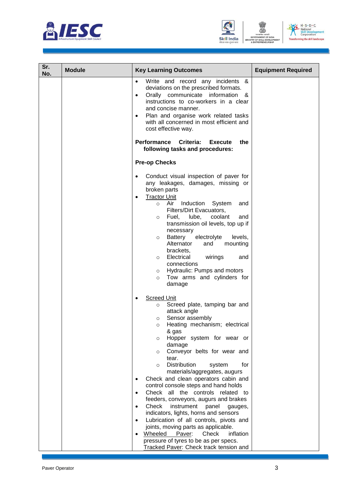





| Sr.<br>No. | <b>Module</b> | <b>Key Learning Outcomes</b>                                                                                                                                                                                                                                                                                                                                                                                                                                                                                                                                                                                                                                                                                                                                                                                            | <b>Equipment Required</b> |
|------------|---------------|-------------------------------------------------------------------------------------------------------------------------------------------------------------------------------------------------------------------------------------------------------------------------------------------------------------------------------------------------------------------------------------------------------------------------------------------------------------------------------------------------------------------------------------------------------------------------------------------------------------------------------------------------------------------------------------------------------------------------------------------------------------------------------------------------------------------------|---------------------------|
|            |               | Write and record any incidents &<br>deviations on the prescribed formats.<br>Orally communicate information &<br>$\bullet$<br>instructions to co-workers in a clear<br>and concise manner.<br>Plan and organise work related tasks<br>with all concerned in most efficient and<br>cost effective way.                                                                                                                                                                                                                                                                                                                                                                                                                                                                                                                   |                           |
|            |               | Performance<br>Criteria:<br><b>Execute</b><br>the<br>following tasks and procedures:                                                                                                                                                                                                                                                                                                                                                                                                                                                                                                                                                                                                                                                                                                                                    |                           |
|            |               | <b>Pre-op Checks</b>                                                                                                                                                                                                                                                                                                                                                                                                                                                                                                                                                                                                                                                                                                                                                                                                    |                           |
|            |               | Conduct visual inspection of paver for<br>any leakages, damages, missing or<br>broken parts<br><b>Tractor Unit</b><br>$\bullet$<br>Air<br>Induction<br>System<br>$\circ$<br>and<br>Filters/Dirt Evacuators,<br>Fuel, lube,<br>coolant<br>and<br>$\circ$<br>transmission oil levels, top up if<br>necessary<br>Battery<br>electrolyte<br>levels,<br>$\circ$<br>Alternator<br>mounting<br>and<br>brackets,<br>Electrical<br>wirings<br>and<br>$\circ$<br>connections<br>Hydraulic: Pumps and motors<br>$\circ$<br>Tow arms and cylinders for<br>$\circ$<br>damage                                                                                                                                                                                                                                                         |                           |
|            |               | <b>Screed Unit</b><br>Screed plate, tamping bar and<br>$\circ$<br>attack angle<br>Sensor assembly<br>$\circ$<br>Heating mechanism; electrical<br>$\circ$<br>& gas<br>Hopper system for wear or<br>$\circ$<br>damage<br>Conveyor belts for wear and<br>$\circ$<br>tear.<br><b>Distribution</b><br>for<br>system<br>$\circ$<br>materials/aggregates, augurs<br>Check and clean operators cabin and<br>control console steps and hand holds<br>Check all the controls related to<br>feeders, conveyors, augurs and brakes<br>Check<br>instrument<br>panel<br>gauges,<br>indicators, lights, horns and sensors<br>Lubrication of all controls, pivots and<br>joints, moving parts as applicable.<br>Wheeled Paver:<br>Check<br>inflation<br>pressure of tyres to be as per specs.<br>Tracked Paver: Check track tension and |                           |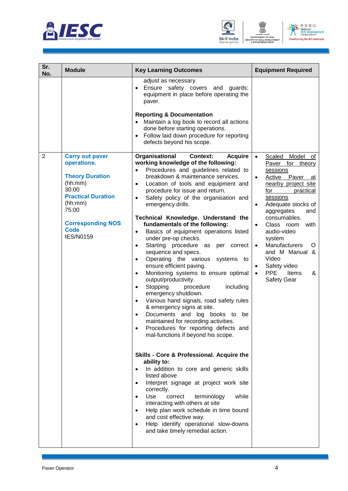





| Sr.<br>No.     | <b>Module</b>                                                                                                                                                                                       | <b>Key Learning Outcomes</b>                                                                                                                                                                                                                                                                                                                                                                                                                                                                                                                                                                                                                                                                                                                                                                                                                                                                                                                                                                                                                                                                                                                                                                                                                                                                                                                                                                                                                                                                                                       | <b>Equipment Required</b>                                                                                                                                                                                                                                                                                                                                                                                                                                  |
|----------------|-----------------------------------------------------------------------------------------------------------------------------------------------------------------------------------------------------|------------------------------------------------------------------------------------------------------------------------------------------------------------------------------------------------------------------------------------------------------------------------------------------------------------------------------------------------------------------------------------------------------------------------------------------------------------------------------------------------------------------------------------------------------------------------------------------------------------------------------------------------------------------------------------------------------------------------------------------------------------------------------------------------------------------------------------------------------------------------------------------------------------------------------------------------------------------------------------------------------------------------------------------------------------------------------------------------------------------------------------------------------------------------------------------------------------------------------------------------------------------------------------------------------------------------------------------------------------------------------------------------------------------------------------------------------------------------------------------------------------------------------------|------------------------------------------------------------------------------------------------------------------------------------------------------------------------------------------------------------------------------------------------------------------------------------------------------------------------------------------------------------------------------------------------------------------------------------------------------------|
|                |                                                                                                                                                                                                     | adjust as necessary.<br>Ensure safety covers and guards;<br>equipment in place before operating the<br>paver.<br><b>Reporting &amp; Documentation</b><br>Maintain a log book to record all actions<br>done before starting operations.<br>Follow laid down procedure for reporting<br>defects beyond his scope.                                                                                                                                                                                                                                                                                                                                                                                                                                                                                                                                                                                                                                                                                                                                                                                                                                                                                                                                                                                                                                                                                                                                                                                                                    |                                                                                                                                                                                                                                                                                                                                                                                                                                                            |
| $\overline{2}$ | <b>Carry out paver</b><br>operations.<br><b>Theory Duration</b><br>(hh:mm)<br>30:00<br><b>Practical Duration</b><br>(hh:mm)<br>75:00<br><b>Corresponding NOS</b><br><b>Code</b><br><b>IES/N0159</b> | Organisational<br><b>Context:</b><br><b>Acquire</b><br>working knowledge of the following:<br>Procedures and guidelines related to<br>$\bullet$<br>breakdown & maintenance services.<br>Location of tools and equipment and<br>$\bullet$<br>procedure for issue and return.<br>Safety policy of the organisation and<br>$\bullet$<br>emergency drills.<br>Technical Knowledge. Understand the<br>fundamentals of the following:<br>Basics of equipment operations listed<br>$\bullet$<br>under pre-op checks.<br>Starting procedure as<br>per correct<br>$\bullet$<br>sequence and specs.<br>Operating the various systems<br>$\bullet$<br>to<br>ensure efficient paving.<br>Monitoring systems to ensure optimal<br>$\bullet$<br>output/productivity.<br>Stopping<br>procedure<br>including<br>$\bullet$<br>emergency shutdown.<br>Various hand signals, road safety rules<br>$\bullet$<br>& emergency signs at site.<br>Documents and log books to<br>be<br>$\bullet$<br>maintained for recording activities.<br>Procedures for reporting defects and<br>$\bullet$<br>mal-functions if beyond his scope.<br>Skills - Core & Professional. Acquire the<br>ability to:<br>In addition to core and generic skills<br>listed above<br>Interpret signage at project work site<br>correctly.<br>Use<br>while<br>correct<br>terminology<br>$\bullet$<br>interacting with others at site<br>Help plan work schedule in time bound<br>and cost effective way.<br>Help identify operational slow-downs<br>and take timely remedial action. | Model<br>$\bullet$<br>Scaled<br>of<br>Paver for theory<br>sessions<br>Active Paver<br>$\bullet$<br>at<br>nearby project site<br>for<br>practical<br>sessions<br>Adequate stocks of<br>$\bullet$<br>aggregates<br>and<br>consumables.<br>Class room<br>with<br>$\bullet$<br>audio-video<br>system<br>Manufacturers<br>$\bullet$<br>O<br>and M Manual &<br>Video<br>Safety video<br>$\bullet$<br><b>PPE</b><br>Items<br>&<br>$\bullet$<br><b>Safety Gear</b> |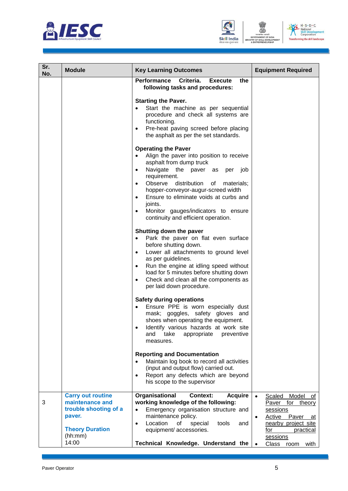





| Sr.<br>No. | <b>Module</b>                                                                           | <b>Key Learning Outcomes</b>                                                                                                                                                                                                                                                                                                                                                                                                                                                                                                                                                                                                                                                                                                                                                                                                           | <b>Equipment Required</b>                                                                                                                    |
|------------|-----------------------------------------------------------------------------------------|----------------------------------------------------------------------------------------------------------------------------------------------------------------------------------------------------------------------------------------------------------------------------------------------------------------------------------------------------------------------------------------------------------------------------------------------------------------------------------------------------------------------------------------------------------------------------------------------------------------------------------------------------------------------------------------------------------------------------------------------------------------------------------------------------------------------------------------|----------------------------------------------------------------------------------------------------------------------------------------------|
|            |                                                                                         | Criteria.<br><b>Performance</b><br><b>Execute</b><br>the<br>following tasks and procedures:<br><b>Starting the Paver.</b><br>Start the machine as per sequential<br>$\bullet$<br>procedure and check all systems are<br>functioning.<br>Pre-heat paving screed before placing<br>$\bullet$<br>the asphalt as per the set standards.<br><b>Operating the Paver</b><br>Align the paver into position to receive<br>asphalt from dump truck<br>Navigate the paver as<br>per job<br>$\bullet$<br>requirement.<br>Observe distribution<br>of<br>materials;<br>hopper-conveyor-augur-screed width<br>Ensure to eliminate voids at curbs and<br>joints.<br>Monitor gauges/indicators to ensure<br>continuity and efficient operation.<br>Shutting down the paver<br>Park the paver on flat even surface<br>$\bullet$<br>before shutting down. |                                                                                                                                              |
|            | <b>Carry out routine</b>                                                                | Lower all attachments to ground level<br>$\bullet$<br>as per guidelines.<br>Run the engine at idling speed without<br>$\bullet$<br>load for 5 minutes before shutting down<br>Check and clean all the components as<br>$\bullet$<br>per laid down procedure.<br><b>Safety during operations</b><br>Ensure PPE is worn especially dust<br>mask; goggles, safety gloves and<br>shoes when operating the equipment.<br>Identify various hazards at work site<br>٠<br>take<br>and<br>appropriate<br>preventive<br>measures.<br><b>Reporting and Documentation</b><br>Maintain log book to record all activities<br>(input and output flow) carried out.<br>Report any defects which are beyond<br>$\bullet$<br>his scope to the supervisor<br><b>Context:</b>                                                                              |                                                                                                                                              |
| 3          | maintenance and<br>trouble shooting of a<br>paver.<br><b>Theory Duration</b><br>(hh:mm) | Organisational<br><b>Acquire</b><br>working knowledge of the following:<br>Emergency organisation structure and<br>$\bullet$<br>maintenance policy.<br>Location<br>οf<br>special<br>tools<br>$\bullet$<br>and<br>equipment/ accessories.                                                                                                                                                                                                                                                                                                                                                                                                                                                                                                                                                                                               | Model of<br>Scaled<br>Paver for theory<br>sessions<br>Active Paver<br>$\bullet$<br>at<br>nearby project site<br>for<br>practical<br>sessions |
|            | 14:00                                                                                   | Technical Knowledge. Understand the                                                                                                                                                                                                                                                                                                                                                                                                                                                                                                                                                                                                                                                                                                                                                                                                    | Class room<br>with                                                                                                                           |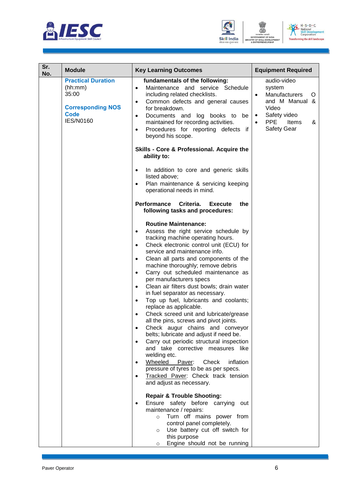





| Sr.<br>No. | <b>Module</b>                                                                                         | <b>Key Learning Outcomes</b>                                                                                                                                                                                                                                                                                                                                                                                                                                                                                                                                                                                                                                                                                                                                                                                                                                                                                                                                                                            | <b>Equipment Required</b>                                                                                                                                          |
|------------|-------------------------------------------------------------------------------------------------------|---------------------------------------------------------------------------------------------------------------------------------------------------------------------------------------------------------------------------------------------------------------------------------------------------------------------------------------------------------------------------------------------------------------------------------------------------------------------------------------------------------------------------------------------------------------------------------------------------------------------------------------------------------------------------------------------------------------------------------------------------------------------------------------------------------------------------------------------------------------------------------------------------------------------------------------------------------------------------------------------------------|--------------------------------------------------------------------------------------------------------------------------------------------------------------------|
|            | <b>Practical Duration</b><br>(hh:mm)<br>35:00<br><b>Corresponding NOS</b><br>Code<br><b>IES/N0160</b> | fundamentals of the following:<br>Maintenance and service Schedule<br>$\bullet$<br>including related checklists.<br>Common defects and general causes<br>$\bullet$<br>for breakdown.<br>Documents and log books to be<br>$\bullet$<br>maintained for recording activities.<br>Procedures for reporting defects if<br>$\bullet$<br>beyond his scope.                                                                                                                                                                                                                                                                                                                                                                                                                                                                                                                                                                                                                                                     | audio-video<br>system<br>Manufacturers<br>$\bullet$<br>Ő<br>and M Manual &<br>Video<br>Safety video<br>$\bullet$<br><b>PPE</b><br>Items<br>&<br><b>Safety Gear</b> |
|            |                                                                                                       | Skills - Core & Professional. Acquire the<br>ability to:                                                                                                                                                                                                                                                                                                                                                                                                                                                                                                                                                                                                                                                                                                                                                                                                                                                                                                                                                |                                                                                                                                                                    |
|            |                                                                                                       | In addition to core and generic skills<br>$\bullet$<br>listed above;<br>Plan maintenance & servicing keeping<br>$\bullet$<br>operational needs in mind.                                                                                                                                                                                                                                                                                                                                                                                                                                                                                                                                                                                                                                                                                                                                                                                                                                                 |                                                                                                                                                                    |
|            |                                                                                                       | Performance Criteria.<br><b>Execute</b><br>the<br>following tasks and procedures:                                                                                                                                                                                                                                                                                                                                                                                                                                                                                                                                                                                                                                                                                                                                                                                                                                                                                                                       |                                                                                                                                                                    |
|            |                                                                                                       | <b>Routine Maintenance:</b><br>Assess the right service schedule by<br>$\bullet$<br>tracking machine operating hours.<br>Check electronic control unit (ECU) for<br>$\bullet$<br>service and maintenance info.<br>Clean all parts and components of the<br>$\bullet$<br>machine thoroughly; remove debris<br>Carry out scheduled maintenance as<br>$\bullet$<br>per manufacturers specs<br>Clean air filters dust bowls; drain water<br>$\bullet$<br>in fuel separator as necessary.<br>Top up fuel, lubricants and coolants;<br>$\bullet$<br>replace as applicable.<br>Check screed unit and lubricate/grease<br>all the pins, screws and pivot joints.<br>Check augur chains and conveyor<br>belts; lubricate and adjust if need be.<br>Carry out periodic structural inspection<br>$\bullet$<br>and take corrective measures like<br>welding etc.<br>Wheeled Paver:<br>Check<br>inflation<br>pressure of tyres to be as per specs.<br>Tracked Paver: Check track tension<br>and adjust as necessary. |                                                                                                                                                                    |
|            |                                                                                                       | <b>Repair &amp; Trouble Shooting:</b><br>Ensure safety before carrying<br>out<br>maintenance / repairs:<br>Turn off mains power from<br>$\circ$<br>control panel completely.<br>Use battery cut off switch for<br>$\circ$<br>this purpose<br>Engine should not be running<br>$\circ$                                                                                                                                                                                                                                                                                                                                                                                                                                                                                                                                                                                                                                                                                                                    |                                                                                                                                                                    |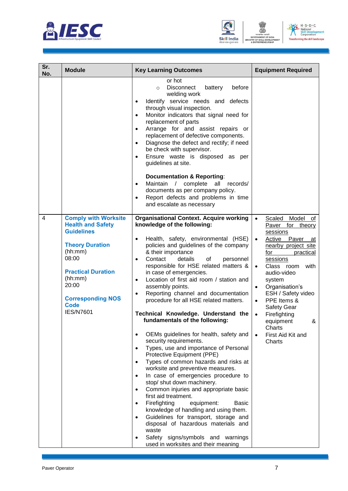





| Sr.<br>No. | <b>Module</b>                                                                                                                                                                                                                              | <b>Key Learning Outcomes</b>                                                                                                                                                                                                                                                                                                                                                                                                                                                                                                                                                                                                                                                                                                                                                                                                                                                                                                                                                                                                                                                                                                                                                                                                                                        | <b>Equipment Required</b>                                                                                                                                                                                                                                                                                                                                                                                                            |
|------------|--------------------------------------------------------------------------------------------------------------------------------------------------------------------------------------------------------------------------------------------|---------------------------------------------------------------------------------------------------------------------------------------------------------------------------------------------------------------------------------------------------------------------------------------------------------------------------------------------------------------------------------------------------------------------------------------------------------------------------------------------------------------------------------------------------------------------------------------------------------------------------------------------------------------------------------------------------------------------------------------------------------------------------------------------------------------------------------------------------------------------------------------------------------------------------------------------------------------------------------------------------------------------------------------------------------------------------------------------------------------------------------------------------------------------------------------------------------------------------------------------------------------------|--------------------------------------------------------------------------------------------------------------------------------------------------------------------------------------------------------------------------------------------------------------------------------------------------------------------------------------------------------------------------------------------------------------------------------------|
|            |                                                                                                                                                                                                                                            | or hot<br>Disconnect<br>battery<br>before<br>$\circ$<br>welding work<br>Identify service needs and defects<br>$\bullet$<br>through visual inspection.<br>Monitor indicators that signal need for<br>$\bullet$<br>replacement of parts<br>Arrange for and assist repairs or<br>$\bullet$<br>replacement of defective components.<br>Diagnose the defect and rectify; if need<br>$\bullet$<br>be check with supervisor.<br>Ensure waste is disposed as per<br>$\bullet$<br>guidelines at site.<br><b>Documentation &amp; Reporting:</b><br>Maintain / complete<br>all<br>records/<br>$\bullet$<br>documents as per company policy.<br>Report defects and problems in time<br>$\bullet$<br>and escalate as necessary                                                                                                                                                                                                                                                                                                                                                                                                                                                                                                                                                   |                                                                                                                                                                                                                                                                                                                                                                                                                                      |
| 4          | <b>Comply with Worksite</b><br><b>Health and Safety</b><br><b>Guidelines</b><br><b>Theory Duration</b><br>(hh:mm)<br>08:00<br><b>Practical Duration</b><br>(hh:mm)<br>20:00<br><b>Corresponding NOS</b><br><b>Code</b><br><b>IES/N7601</b> | <b>Organisational Context. Acquire working</b><br>knowledge of the following:<br>Health, safety, environmental (HSE)<br>$\bullet$<br>policies and guidelines of the company<br>& their importance<br>Contact<br>details<br>of<br>personnel<br>$\bullet$<br>responsible for HSE related matters &<br>in case of emergencies.<br>Location of first aid room / station and<br>$\bullet$<br>assembly points.<br>Reporting channel and documentation<br>$\bullet$<br>procedure for all HSE related matters.<br>Technical Knowledge. Understand the<br>fundamentals of the following:<br>OEMs guidelines for health, safety and<br>security requirements.<br>Types, use and importance of Personal<br>$\bullet$<br>Protective Equipment (PPE)<br>Types of common hazards and risks at<br>$\bullet$<br>worksite and preventive measures.<br>In case of emergencies procedure to<br>$\bullet$<br>stop/ shut down machinery.<br>Common injuries and appropriate basic<br>first aid treatment.<br>Firefighting<br>equipment:<br>Basic<br>$\bullet$<br>knowledge of handling and using them.<br>Guidelines for transport, storage and<br>$\bullet$<br>disposal of hazardous materials and<br>waste<br>Safety signs/symbols and warnings<br>used in worksites and their meaning | Model<br>Scaled<br>$\bullet$<br>ot<br>Paver for theory<br>sessions<br>Active Paver<br>$\bullet$<br>at<br>nearby project site<br>for<br>practical<br>sessions<br>Class room<br>with<br>$\bullet$<br>audio-video<br>system<br>Organisation's<br>$\bullet$<br>ESH / Safety video<br>PPE Items &<br>$\bullet$<br><b>Safety Gear</b><br>Firefighting<br>$\bullet$<br>equipment<br>&<br>Charts<br>First Aid Kit and<br>$\bullet$<br>Charts |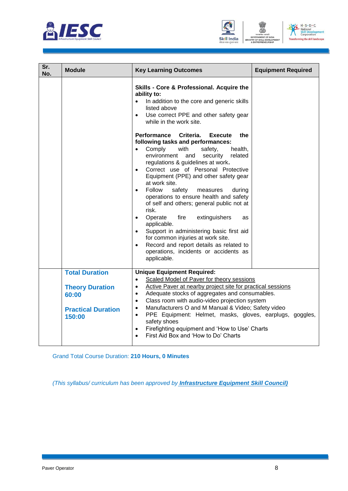





| Sr.<br>No. | <b>Module</b>                                                                                   | <b>Key Learning Outcomes</b>                                                                                                                                                                                                                                                                                                                                                                                                                                                                                                                                                                                                                                                                                                                                                                                                                                                                                                                                                        | <b>Equipment Required</b> |
|------------|-------------------------------------------------------------------------------------------------|-------------------------------------------------------------------------------------------------------------------------------------------------------------------------------------------------------------------------------------------------------------------------------------------------------------------------------------------------------------------------------------------------------------------------------------------------------------------------------------------------------------------------------------------------------------------------------------------------------------------------------------------------------------------------------------------------------------------------------------------------------------------------------------------------------------------------------------------------------------------------------------------------------------------------------------------------------------------------------------|---------------------------|
|            |                                                                                                 | Skills - Core & Professional. Acquire the<br>ability to:<br>In addition to the core and generic skills<br>$\bullet$<br>listed above<br>Use correct PPE and other safety gear<br>$\bullet$<br>while in the work site.<br>Performance Criteria. Execute<br>the<br>following tasks and performances:<br>Comply<br>with<br>safety,<br>health,<br>environment<br>and<br>security<br>related<br>regulations & guidelines at work.<br>Correct use of Personal Protective<br>$\bullet$<br>Equipment (PPE) and other safety gear<br>at work site.<br>Follow<br>safety<br>measures<br>during<br>$\bullet$<br>operations to ensure health and safety<br>of self and others; general public not at<br>risk.<br>fire<br>Operate<br>extinguishers<br>$\bullet$<br>as<br>applicable.<br>Support in administering basic first aid<br>$\bullet$<br>for common injuries at work site.<br>Record and report details as related to<br>$\bullet$<br>operations, incidents or accidents as<br>applicable. |                           |
|            | <b>Total Duration</b><br><b>Theory Duration</b><br>60:00<br><b>Practical Duration</b><br>150:00 | <b>Unique Equipment Required:</b><br>Scaled Model of Paver for theory sessions<br>$\bullet$<br>Active Paver at nearby project site for practical sessions<br>$\bullet$<br>Adequate stocks of aggregates and consumables.<br>$\bullet$<br>Class room with audio-video projection system<br>$\bullet$<br>Manufacturers O and M Manual & Video; Safety video<br>$\bullet$<br>PPE Equipment: Helmet, masks, gloves, earplugs, goggles,<br>$\bullet$<br>safety shoes<br>Firefighting equipment and 'How to Use' Charts<br>$\bullet$<br>First Aid Box and 'How to Do' Charts<br>$\bullet$                                                                                                                                                                                                                                                                                                                                                                                                 |                           |

Grand Total Course Duration: **210 Hours, 0 Minutes**

*(This syllabus/ curriculum has been approved by Infrastructure Equipment Skill Council)*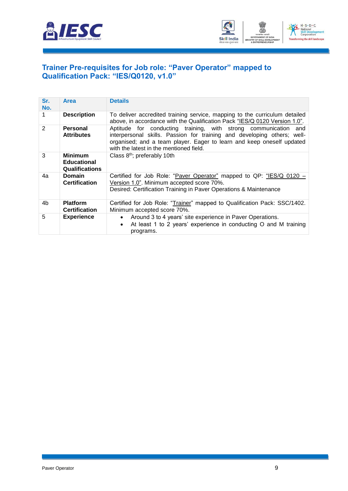



#### <span id="page-11-0"></span>**[Trainer Pre-requisites for Job role: "Paver](#page-2-1) Operator" mapped to [Qualification Pack: "IES/Q0120, v1.0"](#page-2-1)**

| Sr.<br>No. | Area                                                          | <b>Details</b>                                                                                                                                                                                                                                                 |
|------------|---------------------------------------------------------------|----------------------------------------------------------------------------------------------------------------------------------------------------------------------------------------------------------------------------------------------------------------|
|            | <b>Description</b>                                            | To deliver accredited training service, mapping to the curriculum detailed<br>above, in accordance with the Qualification Pack "IES/Q 0120 Version 1.0".                                                                                                       |
| 2          | Personal<br><b>Attributes</b>                                 | Aptitude for conducting training, with strong communication and<br>interpersonal skills. Passion for training and developing others; well-<br>organised; and a team player. Eager to learn and keep oneself updated<br>with the latest in the mentioned field. |
| 3          | <b>Minimum</b><br><b>Educational</b><br><b>Qualifications</b> | Class $8th$ ; preferably 10th                                                                                                                                                                                                                                  |
| 4a         | <b>Domain</b><br><b>Certification</b>                         | Certified for Job Role: "Paver Operator" mapped to QP: "IES/Q 0120 -<br>Version 1.0". Minimum accepted score 70%.<br>Desired: Certification Training in Paver Operations & Maintenance                                                                         |
| 4b         | <b>Platform</b><br><b>Certification</b>                       | Certified for Job Role: "Trainer" mapped to Qualification Pack: SSC/1402.<br>Minimum accepted score 70%.                                                                                                                                                       |
| 5          | <b>Experience</b>                                             | Around 3 to 4 years' site experience in Paver Operations.<br>$\bullet$<br>At least 1 to 2 years' experience in conducting O and M training<br>$\bullet$<br>programs.                                                                                           |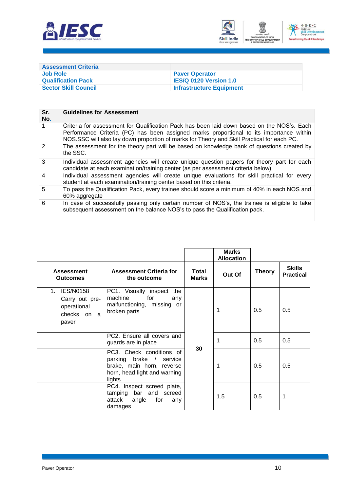



<span id="page-12-0"></span>

| <b>Assessment Criteria</b>  |                                 |
|-----------------------------|---------------------------------|
| Job Role                    | <b>Paver Operator</b>           |
| <b>Qualification Pack</b>   | <b>IES/Q 0120 Version 1.0</b>   |
| <b>Sector Skill Council</b> | <b>Infrastructure Equipment</b> |

| Sr.<br>No.              | <b>Guidelines for Assessment</b>                                                                                                                                                                                                                                                    |
|-------------------------|-------------------------------------------------------------------------------------------------------------------------------------------------------------------------------------------------------------------------------------------------------------------------------------|
|                         | Criteria for assessment for Qualification Pack has been laid down based on the NOS's. Each<br>Performance Criteria (PC) has been assigned marks proportional to its importance within<br>NOS.SSC will also lay down proportion of marks for Theory and Skill Practical for each PC. |
| $\mathcal{P}$           | The assessment for the theory part will be based on knowledge bank of questions created by<br>the SSC.                                                                                                                                                                              |
| 3                       | Individual assessment agencies will create unique question papers for theory part for each<br>candidate at each examination/training center (as per assessment criteria below)                                                                                                      |
| $\overline{\mathbf{4}}$ | Individual assessment agencies will create unique evaluations for skill practical for every<br>student at each examination/training center based on this criteria.                                                                                                                  |
| 5                       | To pass the Qualification Pack, every trainee should score a minimum of 40% in each NOS and<br>60% aggregate                                                                                                                                                                        |
| 6                       | In case of successfully passing only certain number of NOS's, the trainee is eligible to take<br>subsequent assessment on the balance NOS's to pass the Qualification pack.                                                                                                         |
|                         |                                                                                                                                                                                                                                                                                     |

|                                                                                             |                                                                                                                            |                              | <b>Marks</b><br><b>Allocation</b> |               |                                   |
|---------------------------------------------------------------------------------------------|----------------------------------------------------------------------------------------------------------------------------|------------------------------|-----------------------------------|---------------|-----------------------------------|
| <b>Assessment</b><br><b>Outcomes</b>                                                        | <b>Assessment Criteria for</b><br>the outcome                                                                              | <b>Total</b><br><b>Marks</b> | Out Of                            | <b>Theory</b> | <b>Skills</b><br><b>Practical</b> |
| <b>IES/N0158</b><br>1 <sub>1</sub><br>Carry out pre-<br>operational<br>checks on a<br>paver | PC1. Visually inspect the<br>machine<br>for<br>any<br>malfunctioning, missing or<br>broken parts                           |                              | 1                                 | 0.5           | 0.5                               |
|                                                                                             | PC2. Ensure all covers and<br>guards are in place                                                                          | 30                           | 1                                 | 0.5           | 0.5                               |
|                                                                                             | PC3. Check conditions of<br>parking brake / service<br>brake, main horn, reverse<br>horn, head light and warning<br>lights |                              | 1                                 | 0.5           | 0.5                               |
|                                                                                             | PC4. Inspect screed plate,<br>tamping bar and screed<br>attack<br>angle<br>for<br>any<br>damages                           |                              | 1.5                               | 0.5           | 1                                 |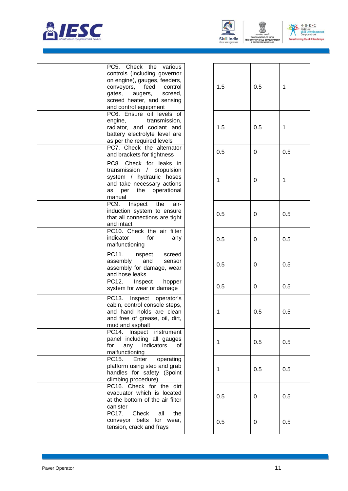



**UNIL** 



1

1

0 0.5

1

0 0.5

0 0.5

0 0.5

0 0.5

 $0.5$ 

 $0.5$ 

 $0.5$ 

0 0.5

0 0.5

| PC5. Check the<br>various<br>controls (including governor<br>on engine), gauges, feeders,<br>conveyors, feed<br>control<br>gates,<br>augers,<br>screed,<br>screed heater, and sensing<br>and control equipment | 1.5         | 0.5 |
|----------------------------------------------------------------------------------------------------------------------------------------------------------------------------------------------------------------|-------------|-----|
| PC6. Ensure oil levels of<br>engine,<br>transmission,<br>radiator, and coolant and<br>battery electrolyte level are<br>as per the required levels                                                              | 1.5         | 0.5 |
| PC7. Check the alternator<br>and brackets for tightness                                                                                                                                                        | 0.5         | 0   |
| PC8. Check for leaks in<br>transmission / propulsion<br>system / hydraulic hoses<br>and take necessary actions<br>operational<br>per the<br>as<br>manual                                                       | $\mathbf 1$ | 0   |
| Inspect the<br>PC9.<br>air-<br>induction system to ensure<br>that all connections are tight<br>and intact                                                                                                      | 0.5         | 0   |
| PC10. Check the air filter<br>indicator<br>for<br>any<br>malfunctioning                                                                                                                                        | 0.5         | 0   |
| PC11.<br>Inspect<br>screed<br>assembly<br>and<br>sensor<br>assembly for damage, wear<br>and hose leaks                                                                                                         | 0.5         | 0   |
| PC12.<br>Inspect<br>hopper<br>system for wear or damage                                                                                                                                                        | 0.5         | 0   |
| PC13.<br>Inspect operator's<br>cabin, control console steps,<br>and hand holds are clean<br>and free of grease, oil, dirt,<br>mud and asphalt                                                                  | 1           | 0.5 |
| PC14. Inspect instrument<br>panel including all gauges<br>for<br>any<br>indicators<br>οf<br>malfunctioning                                                                                                     | 1           | 0.5 |
| PC15.<br>operating<br>Enter<br>platform using step and grab<br>handles for safety (3point<br>climbing procedure)                                                                                               | 1           | 0.5 |
| PC16. Check for the dirt<br>evacuator which is located<br>at the bottom of the air filter<br>canister                                                                                                          | 0.5         | 0   |
| PC17.<br>Check<br>all<br>the<br>conveyor belts for wear,<br>tension, crack and frays                                                                                                                           | 0.5         | 0   |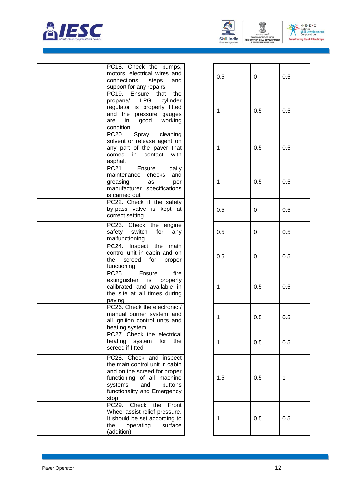





| PC18. Check the<br>pumps,<br>motors, electrical wires and                                                                                                                                   |
|---------------------------------------------------------------------------------------------------------------------------------------------------------------------------------------------|
| connections,<br>steps<br>and<br>support for any repairs                                                                                                                                     |
| PC19. Ensure<br>the<br>that<br><b>LPG</b><br>propane/<br>cylinder<br>regulator<br>is properly fitted<br>and the<br>pressure gauges<br>good<br>working<br>in<br>are<br>condition             |
| PC20.<br>Spray cleaning<br>solvent or release agent on<br>any part of the paver that<br>comes<br>contact<br>with<br>in<br>asphalt                                                           |
| PC21.<br>Ensure<br>daily<br>maintenance<br>checks<br>and<br>greasing<br>as<br>per<br>manufacturer specifications<br>is carried out                                                          |
| PC22. Check if the safety<br>by-pass valve is kept at<br>correct setting                                                                                                                    |
| PC23. Check the<br>engine<br>safety<br>switch<br>for<br>any<br>malfunctioning                                                                                                               |
| PC24.<br>Inspect the<br>main<br>control unit in cabin and on<br>the<br>screed<br>for<br>proper<br>functioning                                                                               |
| PC25.<br>fire<br>Ensure<br>extinguisher<br>is<br>properly<br>calibrated and available in<br>the site at all times during<br>paving                                                          |
| PC26. Check the electronic /<br>manual burner system and<br>all ignition control units and<br>heating system                                                                                |
| PC27. Check the electrical<br>heating system<br>for<br>the<br>screed if fitted                                                                                                              |
| PC28. Check and inspect<br>the main control unit in cabin<br>and on the screed for proper<br>functioning of all machine<br>systems<br>and<br>buttons<br>functionality and Emergency<br>stop |
| PC29.<br>Check the Front<br>Wheel assist relief pressure.<br>It should be set according to<br>operating<br>surface<br>the<br>(addition)                                                     |

| 0.5                     | $\mathbf 0$    | 0.5     |
|-------------------------|----------------|---------|
| $\mathbf 1$             | 0.5            | 0.5     |
| 1                       | 0.5            | 0.5     |
| $\overline{\mathbf{1}}$ | 0.5            | 0.5     |
| 0.5                     | $\mathbf 0$    | 0.5     |
| 0.5                     | 0              | 0.5     |
| 0.5                     | $\overline{0}$ | 0.5     |
| $\mathbf 1$             | 0.5            | 0.5     |
| $\mathbf 1$             | $0.5\,$        | $0.5\,$ |
| 1                       | 0.5            | 0.5     |
| 1.5                     | 0.5            | 1       |
| 1                       | 0.5            | 0.5     |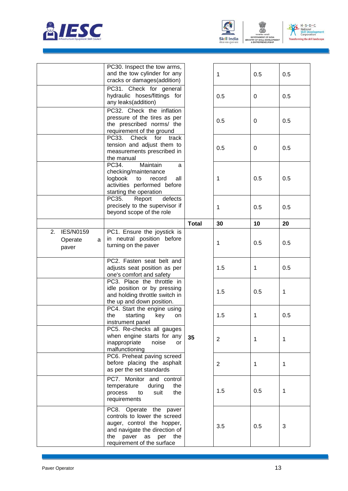





|                                                 | PC30. Inspect the tow arms,<br>and the tow cylinder for any<br>cracks or damages(addition)                                                                                              |              | 1              | 0.5 | 0.5 |
|-------------------------------------------------|-----------------------------------------------------------------------------------------------------------------------------------------------------------------------------------------|--------------|----------------|-----|-----|
|                                                 | PC31. Check for general<br>hydraulic hoses/fittings for<br>any leaks(addition)                                                                                                          |              | 0.5            | 0   | 0.5 |
|                                                 | PC32. Check the inflation<br>pressure of the tires as per<br>the prescribed norms/ the<br>requirement of the ground                                                                     |              | 0.5            | 0   | 0.5 |
|                                                 | PC33.<br>Check<br>for<br>track<br>tension and adjust them to<br>measurements prescribed in<br>the manual                                                                                |              | 0.5            | 0   | 0.5 |
|                                                 | PC34.<br>Maintain<br>a<br>checking/maintenance<br>logbook<br>to<br>record<br>all<br>activities performed before<br>starting the operation                                               |              | 1              | 0.5 | 0.5 |
|                                                 | PC35.<br>Report<br>defects<br>precisely to the supervisor if<br>beyond scope of the role                                                                                                |              | 1              | 0.5 | 0.5 |
|                                                 |                                                                                                                                                                                         | <b>Total</b> | 30             | 10  | 20  |
| <b>IES/N0159</b><br>2.<br>Operate<br>a<br>paver | PC1. Ensure the joystick is<br>in neutral position before<br>turning on the paver                                                                                                       |              | 1              | 0.5 | 0.5 |
|                                                 | PC2. Fasten seat belt and<br>adjusts seat position as per<br>one's comfort and safety                                                                                                   |              | 1.5            | 1   | 0.5 |
|                                                 | PC3. Place the throttle in<br>idle position or by pressing<br>and holding throttle switch in<br>the up and down position.                                                               |              | 1.5            | 0.5 | 1   |
|                                                 | PC4. Start the engine using<br>key<br>the<br>starting<br>on<br>instrument panel                                                                                                         |              | 1.5            | 1   | 0.5 |
|                                                 | PC5. Re-checks all gauges<br>when engine starts for any<br>inappropriate<br>noise<br>or<br>malfunctioning                                                                               | 35           | $\overline{2}$ | 1   | 1   |
|                                                 | PC6. Preheat paving screed<br>before placing the asphalt<br>as per the set standards                                                                                                    |              | $\overline{2}$ | 1   | 1   |
|                                                 | PC7. Monitor and control<br>during<br>temperature<br>the<br>the<br>process<br>suit<br>to<br>requirements                                                                                |              | 1.5            | 0.5 | 1   |
|                                                 | PC8. Operate the paver<br>controls to lower the screed<br>auger, control the hopper,<br>and navigate the direction of<br>paver<br>per<br>the<br>as<br>the<br>requirement of the surface |              | 3.5            | 0.5 | 3   |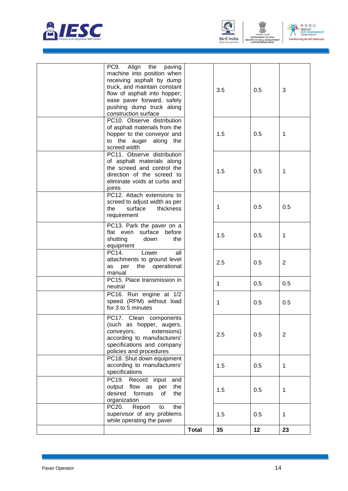



MENT OF

ENT OF INDE



|                                                                                                                                                                                                                                          | <b>Total</b> | 35           | 12  | 23             |
|------------------------------------------------------------------------------------------------------------------------------------------------------------------------------------------------------------------------------------------|--------------|--------------|-----|----------------|
| PC20.<br>Report<br>the<br>to<br>supervisor of any problems<br>while operating the paver                                                                                                                                                  |              | 1.5          | 0.5 | 1              |
| PC19.<br>Record input<br>and<br>flow as<br>output<br>the<br>per<br>desired<br>formats<br>the<br>οf<br>organization                                                                                                                       |              | 1.5          | 0.5 | 1              |
| PC18. Shut down equipment<br>according to manufacturers'<br>specifications                                                                                                                                                               |              | 1.5          | 0.5 | 1              |
| PC17. Clean components<br>(such as hopper, augers,<br>conveyors,<br>extensions)<br>according to manufacturers'<br>specifications and company<br>policies and procedures                                                                  |              | 2.5          | 0.5 | $\overline{2}$ |
| PC16. Run engine at 1/2<br>speed (RPM) without load<br>for 3 to 5 minutes                                                                                                                                                                |              | $\mathbf{1}$ | 0.5 | 0.5            |
| PC15. Place transmission in<br>neutral                                                                                                                                                                                                   |              | $\mathbf{1}$ | 0.5 | 0.5            |
| PC14.<br>Lower<br>all<br>attachments to ground level<br>per the operational<br>as<br>manual                                                                                                                                              |              | 2.5          | 0.5 | $\overline{2}$ |
| PC13. Park the paver on a<br>flat even surface before<br>shutting<br>down<br>the<br>equipment                                                                                                                                            |              | 1.5          | 0.5 | $\mathbf 1$    |
| PC12. Attach extensions to<br>screed to adjust width as per<br>surface<br>thickness<br>the<br>requirement                                                                                                                                |              | 1            | 0.5 | 0.5            |
| PC11. Observe distribution<br>of asphalt materials along<br>the screed and control the<br>direction of the screed to<br>eliminate voids at curbs and<br>joints                                                                           |              | 1.5          | 0.5 | 1              |
| PC10. Observe distribution<br>of asphalt materials from the<br>hopper to the conveyor and<br>to the auger along the<br>screed width                                                                                                      |              | 1.5          | 0.5 | 1              |
| PC9.<br>Align the<br>paving<br>machine into position when<br>receiving asphalt by dump<br>truck, and maintain constant<br>flow of asphalt into hopper;<br>ease paver forward, safely<br>pushing dump truck along<br>construction surface |              | 3.5          | 0.5 | 3              |
|                                                                                                                                                                                                                                          |              |              |     |                |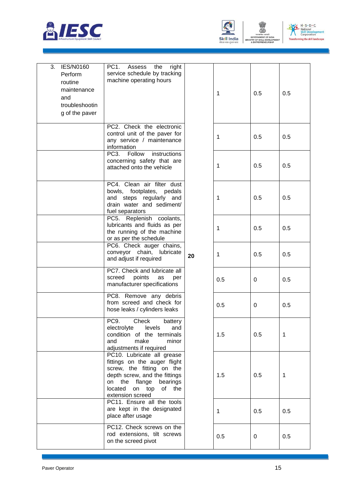



| <b>IES/N0160</b><br>3.<br>Perform<br>routine<br>maintenance<br>and<br>troubleshootin<br>g of the paver | PC <sub>1</sub><br>Assess<br>the<br>right<br>service schedule by tracking<br>machine operating hours                                                                                                     |    | 1   | 0.5 | 0.5 |
|--------------------------------------------------------------------------------------------------------|----------------------------------------------------------------------------------------------------------------------------------------------------------------------------------------------------------|----|-----|-----|-----|
|                                                                                                        | PC2. Check the electronic<br>control unit of the paver for<br>any service / maintenance<br>information                                                                                                   |    | 1   | 0.5 | 0.5 |
|                                                                                                        | PC3. Follow<br>instructions<br>concerning safety that are<br>attached onto the vehicle                                                                                                                   |    | 1   | 0.5 | 0.5 |
|                                                                                                        | PC4. Clean air filter dust<br>bowls, footplates, pedals<br>and steps regularly and<br>drain water and sediment/<br>fuel separators                                                                       |    | 1   | 0.5 | 0.5 |
|                                                                                                        | PC5. Replenish coolants,<br>lubricants and fluids as per<br>the running of the machine<br>or as per the schedule                                                                                         |    | 1   | 0.5 | 0.5 |
|                                                                                                        | PC6. Check auger chains,<br>conveyor chain, lubricate<br>and adjust if required                                                                                                                          | 20 | 1   | 0.5 | 0.5 |
|                                                                                                        | PC7. Check and lubricate all<br>screed<br>points<br>as<br>per<br>manufacturer specifications                                                                                                             |    | 0.5 | 0   | 0.5 |
|                                                                                                        | PC8. Remove any debris<br>from screed and check for<br>hose leaks / cylinders leaks                                                                                                                      |    | 0.5 | 0   | 0.5 |
|                                                                                                        | PC9. Check<br>battery<br>levels<br>electrolyte<br>and<br>condition of the terminals<br>and<br>make<br>minor<br>adjustments if required                                                                   |    | 1.5 | 0.5 | 1   |
|                                                                                                        | PC10. Lubricate all grease<br>fittings on the auger flight<br>screw, the fitting on the<br>depth screw, and the fittings<br>on the flange<br>bearings<br>located<br>on top<br>of the<br>extension screed |    | 1.5 | 0.5 | 1   |
|                                                                                                        | PC11. Ensure all the tools<br>are kept in the designated<br>place after usage                                                                                                                            |    | 1   | 0.5 | 0.5 |
|                                                                                                        | PC12. Check screws on the<br>rod extensions, tilt screws<br>on the screed pivot                                                                                                                          |    | 0.5 | 0   | 0.5 |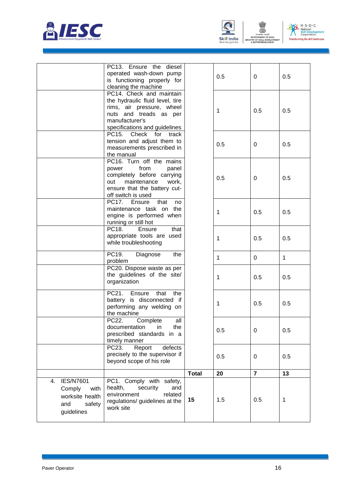





|                                                                                            | PC13. Ensure the diesel<br>operated wash-down pump<br>is functioning properly for<br>cleaning the machine                                                             |              | 0.5         | 0              | 0.5          |
|--------------------------------------------------------------------------------------------|-----------------------------------------------------------------------------------------------------------------------------------------------------------------------|--------------|-------------|----------------|--------------|
|                                                                                            | PC14. Check and maintain<br>the hydraulic fluid level, tire<br>rims, air pressure, wheel<br>nuts and treads as per<br>manufacturer's<br>specifications and guidelines |              | 1           | 0.5            | 0.5          |
|                                                                                            | PC15. Check<br>for<br>track<br>tension and adjust them to<br>measurements prescribed in<br>the manual                                                                 |              | 0.5         | 0              | 0.5          |
|                                                                                            | PC16. Turn off the mains<br>from<br>power<br>panel<br>completely before carrying<br>maintenance<br>out<br>work,<br>ensure that the battery cut-<br>off switch is used |              | 0.5         | 0              | 0.5          |
|                                                                                            | PC17. Ensure<br>that<br>no<br>maintenance task on the<br>engine is performed when<br>running or still hot                                                             |              | 1           | 0.5            | 0.5          |
|                                                                                            | PC18.<br>Ensure<br>that<br>appropriate tools are used<br>while troubleshooting                                                                                        |              | 1           | 0.5            | 0.5          |
|                                                                                            | PC19.<br>Diagnose<br>the<br>problem                                                                                                                                   |              | $\mathbf 1$ | 0              | $\mathbf{1}$ |
|                                                                                            | PC20. Dispose waste as per<br>the guidelines of the site/<br>organization                                                                                             |              | 1           | 0.5            | 0.5          |
|                                                                                            | PC21.<br>Ensure<br>that<br>the<br>battery is disconnected if<br>performing any welding on<br>the machine                                                              |              | 1           | 0.5            | 0.5          |
|                                                                                            | PC22.<br>Complete<br>all<br>documentation<br>the<br>in<br>prescribed standards in a<br>timely manner                                                                  |              | 0.5         | 0              | 0.5          |
|                                                                                            | PC23.<br>Report<br>defects<br>precisely to the supervisor if<br>beyond scope of his role                                                                              |              | 0.5         | 0              | 0.5          |
|                                                                                            |                                                                                                                                                                       | <b>Total</b> | 20          | $\overline{7}$ | 13           |
| <b>IES/N7601</b><br>4.<br>Comply<br>with<br>worksite health<br>and<br>safety<br>guidelines | PC1. Comply with safety,<br>health,<br>security<br>and<br>environment<br>related<br>regulations/ guidelines at the<br>work site                                       | 15           | 1.5         | 0.5            | $\mathbf 1$  |